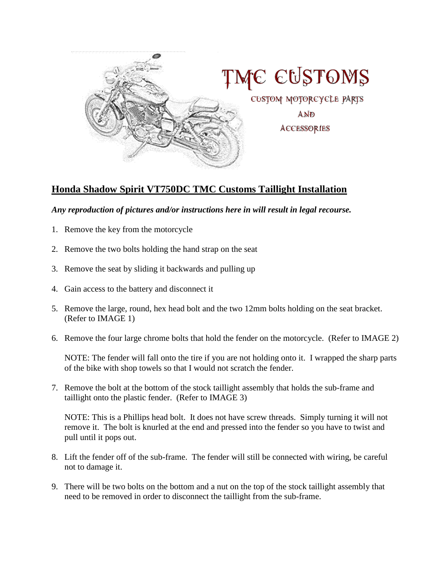

## **Honda Shadow Spirit VT750DC TMC Customs Taillight Installation**

## *Any reproduction of pictures and/or instructions here in will result in legal recourse.*

- 1. Remove the key from the motorcycle
- 2. Remove the two bolts holding the hand strap on the seat
- 3. Remove the seat by sliding it backwards and pulling up
- 4. Gain access to the battery and disconnect it
- 5. Remove the large, round, hex head bolt and the two 12mm bolts holding on the seat bracket. (Refer to IMAGE 1)
- 6. Remove the four large chrome bolts that hold the fender on the motorcycle. (Refer to IMAGE 2)

NOTE: The fender will fall onto the tire if you are not holding onto it. I wrapped the sharp parts of the bike with shop towels so that I would not scratch the fender.

7. Remove the bolt at the bottom of the stock taillight assembly that holds the sub-frame and taillight onto the plastic fender. (Refer to IMAGE 3)

NOTE: This is a Phillips head bolt. It does not have screw threads. Simply turning it will not remove it. The bolt is knurled at the end and pressed into the fender so you have to twist and pull until it pops out.

- 8. Lift the fender off of the sub-frame. The fender will still be connected with wiring, be careful not to damage it.
- 9. There will be two bolts on the bottom and a nut on the top of the stock taillight assembly that need to be removed in order to disconnect the taillight from the sub-frame.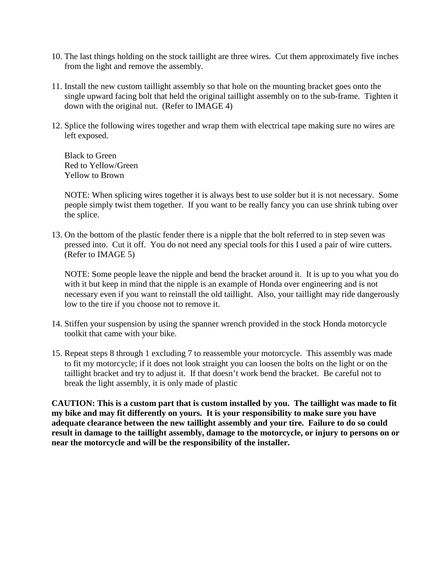- 10. The last things holding on the stock taillight are three wires. Cut them approximately five inches from the light and remove the assembly.
- 11. Install the new custom taillight assembly so that hole on the mounting bracket goes onto the single upward facing bolt that held the original taillight assembly on to the sub-frame. Tighten it down with the original nut. (Refer to IMAGE 4)
- 12. Splice the following wires together and wrap them with electrical tape making sure no wires are left exposed.

Black to Green Red to Yellow/Green Yellow to Brown

NOTE: When splicing wires together it is always best to use solder but it is not necessary. Some people simply twist them together. If you want to be really fancy you can use shrink tubing over the splice.

13. On the bottom of the plastic fender there is a nipple that the bolt referred to in step seven was pressed into. Cut it off. You do not need any special tools for this I used a pair of wire cutters. (Refer to IMAGE 5)

NOTE: Some people leave the nipple and bend the bracket around it. It is up to you what you do with it but keep in mind that the nipple is an example of Honda over engineering and is not necessary even if you want to reinstall the old taillight. Also, your taillight may ride dangerously low to the tire if you choose not to remove it.

- 14. Stiffen your suspension by using the spanner wrench provided in the stock Honda motorcycle toolkit that came with your bike.
- 15. Repeat steps 8 through 1 excluding 7 to reassemble your motorcycle. This assembly was made to fit my motorcycle; if it does not look straight you can loosen the bolts on the light or on the taillight bracket and try to adjust it. If that doesn't work bend the bracket. Be careful not to break the light assembly, it is only made of plastic

**CAUTION: This is a custom part that is custom installed by you. The taillight was made to fit my bike and may fit differently on yours. It is your responsibility to make sure you have adequate clearance between the new taillight assembly and your tire. Failure to do so could result in damage to the taillight assembly, damage to the motorcycle, or injury to persons on or near the motorcycle and will be the responsibility of the installer.**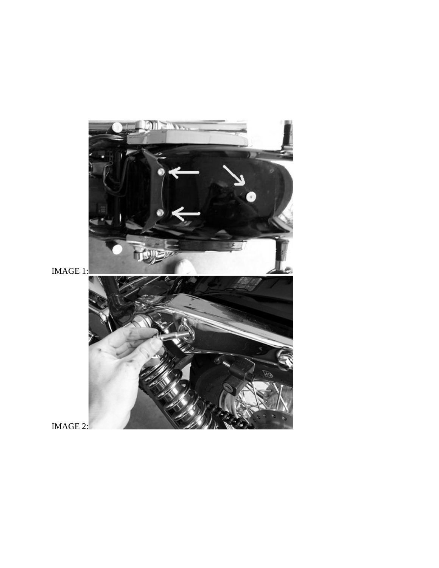